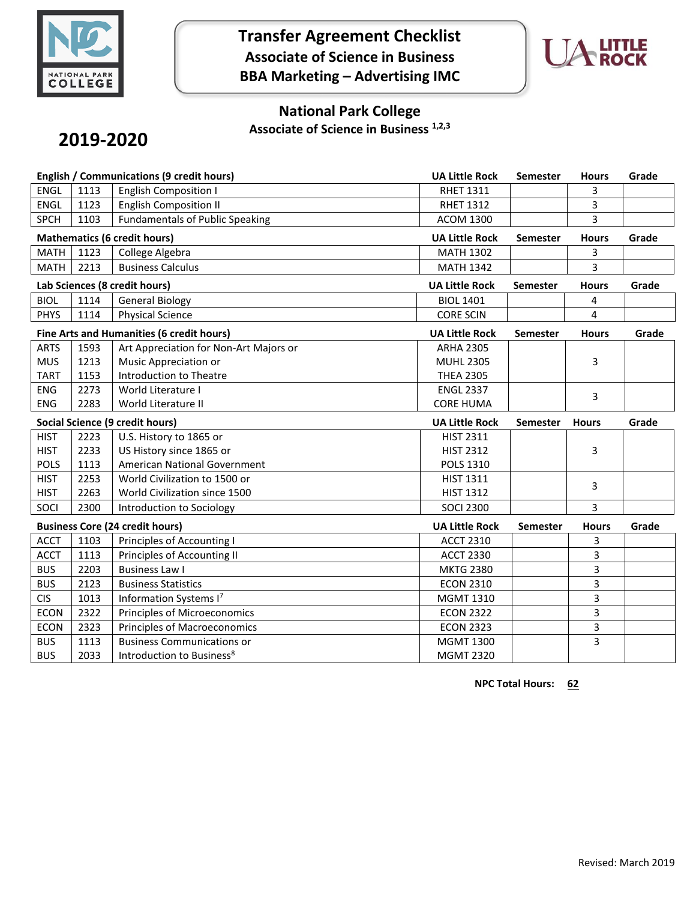

**Transfer Agreement Checklist Associate of Science in Business BBA Marketing – Advertising IMC**



## **National Park College**

**Associate of Science in Business 1,2,3**

# **2019-2020**

| English / Communications (9 credit hours) |      |                                        | <b>UA Little Rock</b> | <b>Semester</b> | <b>Hours</b> | Grade |
|-------------------------------------------|------|----------------------------------------|-----------------------|-----------------|--------------|-------|
| <b>ENGL</b>                               | 1113 | <b>English Composition I</b>           | <b>RHET 1311</b>      |                 | 3            |       |
| <b>ENGL</b>                               | 1123 | <b>English Composition II</b>          | <b>RHET 1312</b>      |                 | 3            |       |
| <b>SPCH</b>                               | 1103 | <b>Fundamentals of Public Speaking</b> | <b>ACOM 1300</b>      |                 | 3            |       |
| <b>Mathematics (6 credit hours)</b>       |      |                                        | <b>UA Little Rock</b> | <b>Semester</b> | <b>Hours</b> | Grade |
| <b>MATH</b>                               | 1123 | College Algebra                        | <b>MATH 1302</b>      |                 | 3            |       |
| <b>MATH</b>                               | 2213 | <b>Business Calculus</b>               | <b>MATH 1342</b>      |                 | 3            |       |
| Lab Sciences (8 credit hours)             |      |                                        | <b>UA Little Rock</b> | <b>Semester</b> | <b>Hours</b> | Grade |
| <b>BIOL</b>                               | 1114 | <b>General Biology</b>                 | <b>BIOL 1401</b>      |                 | 4            |       |
| <b>PHYS</b>                               | 1114 | <b>Physical Science</b>                | <b>CORE SCIN</b>      |                 | 4            |       |
| Fine Arts and Humanities (6 credit hours) |      |                                        | <b>UA Little Rock</b> | <b>Semester</b> | <b>Hours</b> | Grade |
| <b>ARTS</b>                               | 1593 | Art Appreciation for Non-Art Majors or | <b>ARHA 2305</b>      |                 |              |       |
| <b>MUS</b>                                | 1213 | Music Appreciation or                  | <b>MUHL 2305</b>      |                 | 3            |       |
| <b>TART</b>                               | 1153 | Introduction to Theatre                | <b>THEA 2305</b>      |                 |              |       |
| <b>ENG</b>                                | 2273 | World Literature I                     | <b>ENGL 2337</b>      |                 | 3            |       |
| <b>ENG</b>                                | 2283 | World Literature II                    | <b>CORE HUMA</b>      |                 |              |       |
| Social Science (9 credit hours)           |      |                                        |                       |                 |              |       |
|                                           |      |                                        | <b>UA Little Rock</b> | <b>Semester</b> | <b>Hours</b> | Grade |
| <b>HIST</b>                               | 2223 | U.S. History to 1865 or                | <b>HIST 2311</b>      |                 |              |       |
| <b>HIST</b>                               | 2233 | US History since 1865 or               | <b>HIST 2312</b>      |                 | 3            |       |
| <b>POLS</b>                               | 1113 | American National Government           | POLS 1310             |                 |              |       |
| <b>HIST</b>                               | 2253 | World Civilization to 1500 or          | HIST 1311             |                 |              |       |
| <b>HIST</b>                               | 2263 | World Civilization since 1500          | <b>HIST 1312</b>      |                 | 3            |       |
| SOCI                                      | 2300 | Introduction to Sociology              | <b>SOCI 2300</b>      |                 | 3            |       |
|                                           |      | <b>Business Core (24 credit hours)</b> | <b>UA Little Rock</b> | Semester        | <b>Hours</b> | Grade |
| <b>ACCT</b>                               | 1103 | Principles of Accounting I             | <b>ACCT 2310</b>      |                 | 3            |       |
| <b>ACCT</b>                               | 1113 | Principles of Accounting II            | <b>ACCT 2330</b>      |                 | 3            |       |
| <b>BUS</b>                                | 2203 | <b>Business Law I</b>                  | <b>MKTG 2380</b>      |                 | 3            |       |
| <b>BUS</b>                                | 2123 | <b>Business Statistics</b>             | <b>ECON 2310</b>      |                 | 3            |       |
| <b>CIS</b>                                | 1013 | Information Systems I7                 | <b>MGMT 1310</b>      |                 | 3            |       |
| <b>ECON</b>                               | 2322 | Principles of Microeconomics           | <b>ECON 2322</b>      |                 | 3            |       |
| <b>ECON</b>                               | 2323 | <b>Principles of Macroeconomics</b>    | <b>ECON 2323</b>      |                 | 3            |       |
| <b>BUS</b>                                | 1113 | <b>Business Communications or</b>      | <b>MGMT 1300</b>      |                 | 3            |       |

**NPC Total Hours: 62**